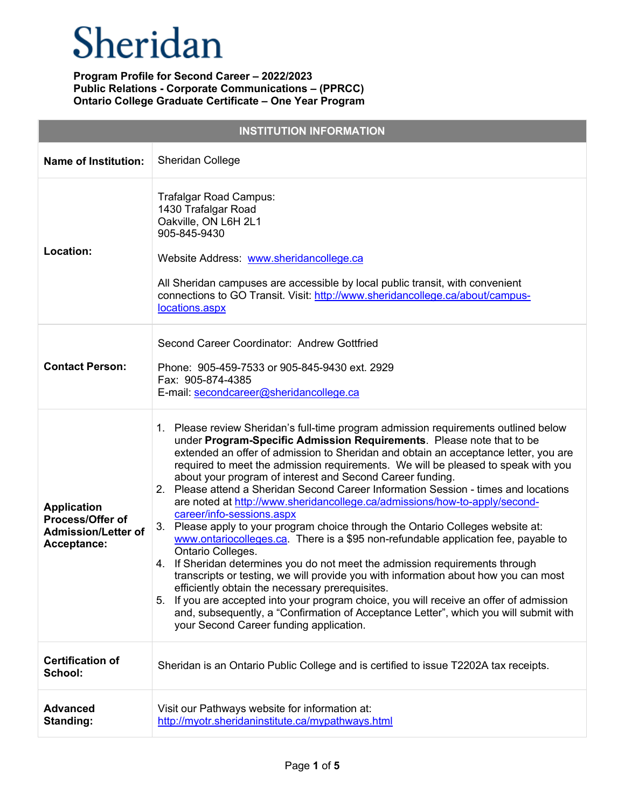| <b>INSTITUTION INFORMATION</b>                                                      |                                                                                                                                                                                                                                                                                                                                                                                                                                                                                                                                                                                                                                                                                                                                                                                                                                                                                                                                                                                                                                                                                                                                                                                                                                                                        |  |
|-------------------------------------------------------------------------------------|------------------------------------------------------------------------------------------------------------------------------------------------------------------------------------------------------------------------------------------------------------------------------------------------------------------------------------------------------------------------------------------------------------------------------------------------------------------------------------------------------------------------------------------------------------------------------------------------------------------------------------------------------------------------------------------------------------------------------------------------------------------------------------------------------------------------------------------------------------------------------------------------------------------------------------------------------------------------------------------------------------------------------------------------------------------------------------------------------------------------------------------------------------------------------------------------------------------------------------------------------------------------|--|
| <b>Name of Institution:</b>                                                         | <b>Sheridan College</b>                                                                                                                                                                                                                                                                                                                                                                                                                                                                                                                                                                                                                                                                                                                                                                                                                                                                                                                                                                                                                                                                                                                                                                                                                                                |  |
| Location:                                                                           | Trafalgar Road Campus:<br>1430 Trafalgar Road<br>Oakville, ON L6H 2L1<br>905-845-9430<br>Website Address: www.sheridancollege.ca<br>All Sheridan campuses are accessible by local public transit, with convenient<br>connections to GO Transit. Visit: http://www.sheridancollege.ca/about/campus-<br>locations.aspx                                                                                                                                                                                                                                                                                                                                                                                                                                                                                                                                                                                                                                                                                                                                                                                                                                                                                                                                                   |  |
| <b>Contact Person:</b>                                                              | Second Career Coordinator: Andrew Gottfried<br>Phone: 905-459-7533 or 905-845-9430 ext. 2929<br>Fax: 905-874-4385<br>E-mail: secondcareer@sheridancollege.ca                                                                                                                                                                                                                                                                                                                                                                                                                                                                                                                                                                                                                                                                                                                                                                                                                                                                                                                                                                                                                                                                                                           |  |
| <b>Application</b><br>Process/Offer of<br><b>Admission/Letter of</b><br>Acceptance: | 1. Please review Sheridan's full-time program admission requirements outlined below<br>under Program-Specific Admission Requirements. Please note that to be<br>extended an offer of admission to Sheridan and obtain an acceptance letter, you are<br>required to meet the admission requirements. We will be pleased to speak with you<br>about your program of interest and Second Career funding.<br>Please attend a Sheridan Second Career Information Session - times and locations<br>2.<br>are noted at http://www.sheridancollege.ca/admissions/how-to-apply/second-<br>career/info-sessions.aspx<br>Please apply to your program choice through the Ontario Colleges website at:<br>3.<br>www.ontariocolleges.ca. There is a \$95 non-refundable application fee, payable to<br>Ontario Colleges.<br>4. If Sheridan determines you do not meet the admission requirements through<br>transcripts or testing, we will provide you with information about how you can most<br>efficiently obtain the necessary prerequisites.<br>If you are accepted into your program choice, you will receive an offer of admission<br>5.<br>and, subsequently, a "Confirmation of Acceptance Letter", which you will submit with<br>your Second Career funding application. |  |
| <b>Certification of</b><br>School:                                                  | Sheridan is an Ontario Public College and is certified to issue T2202A tax receipts.                                                                                                                                                                                                                                                                                                                                                                                                                                                                                                                                                                                                                                                                                                                                                                                                                                                                                                                                                                                                                                                                                                                                                                                   |  |
| <b>Advanced</b><br>Standing:                                                        | Visit our Pathways website for information at:<br>http://myotr.sheridaninstitute.ca/mypathways.html                                                                                                                                                                                                                                                                                                                                                                                                                                                                                                                                                                                                                                                                                                                                                                                                                                                                                                                                                                                                                                                                                                                                                                    |  |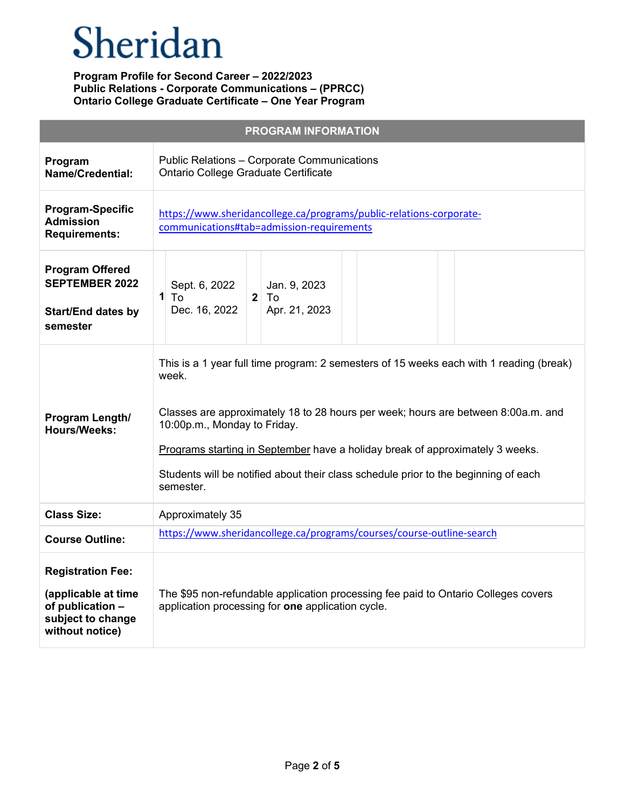# Sheridan

| <b>PROGRAM INFORMATION</b>                                                                                  |                                                                                                                                                                                                                                                                                                                                                                                                            |  |
|-------------------------------------------------------------------------------------------------------------|------------------------------------------------------------------------------------------------------------------------------------------------------------------------------------------------------------------------------------------------------------------------------------------------------------------------------------------------------------------------------------------------------------|--|
| Program<br>Name/Credential:                                                                                 | Public Relations - Corporate Communications<br>Ontario College Graduate Certificate                                                                                                                                                                                                                                                                                                                        |  |
| <b>Program-Specific</b><br><b>Admission</b><br><b>Requirements:</b>                                         | https://www.sheridancollege.ca/programs/public-relations-corporate-<br>communications#tab=admission-requirements                                                                                                                                                                                                                                                                                           |  |
| <b>Program Offered</b><br><b>SEPTEMBER 2022</b><br><b>Start/End dates by</b><br>semester                    | Sept. 6, 2022<br>Jan. 9, 2023<br>1<br>$2^{\circ}$<br>To<br>To<br>Dec. 16, 2022<br>Apr. 21, 2023                                                                                                                                                                                                                                                                                                            |  |
| Program Length/<br><b>Hours/Weeks:</b>                                                                      | This is a 1 year full time program: 2 semesters of 15 weeks each with 1 reading (break)<br>week.<br>Classes are approximately 18 to 28 hours per week; hours are between 8:00a.m. and<br>10:00p.m., Monday to Friday.<br>Programs starting in September have a holiday break of approximately 3 weeks.<br>Students will be notified about their class schedule prior to the beginning of each<br>semester. |  |
| <b>Class Size:</b>                                                                                          | Approximately 35                                                                                                                                                                                                                                                                                                                                                                                           |  |
| <b>Course Outline:</b>                                                                                      | https://www.sheridancollege.ca/programs/courses/course-outline-search                                                                                                                                                                                                                                                                                                                                      |  |
| <b>Registration Fee:</b><br>(applicable at time<br>of publication -<br>subject to change<br>without notice) | The \$95 non-refundable application processing fee paid to Ontario Colleges covers<br>application processing for one application cycle.                                                                                                                                                                                                                                                                    |  |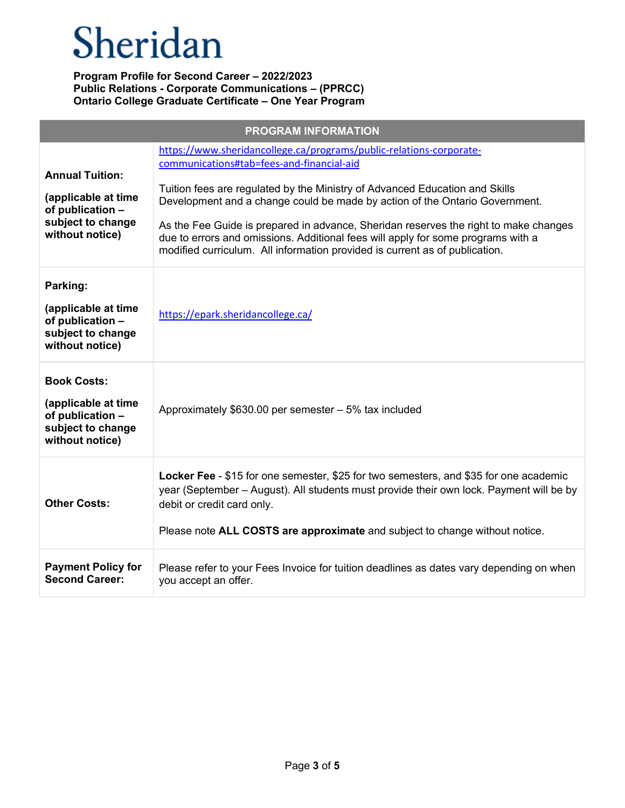# Sheridan

| <b>PROGRAM INFORMATION</b>                                                                                |                                                                                                                                                                                                                                                                                                                                                                                                                                                                                                                                           |  |
|-----------------------------------------------------------------------------------------------------------|-------------------------------------------------------------------------------------------------------------------------------------------------------------------------------------------------------------------------------------------------------------------------------------------------------------------------------------------------------------------------------------------------------------------------------------------------------------------------------------------------------------------------------------------|--|
| <b>Annual Tuition:</b><br>(applicable at time<br>of publication -<br>subject to change<br>without notice) | https://www.sheridancollege.ca/programs/public-relations-corporate-<br>communications#tab=fees-and-financial-aid<br>Tuition fees are regulated by the Ministry of Advanced Education and Skills<br>Development and a change could be made by action of the Ontario Government.<br>As the Fee Guide is prepared in advance, Sheridan reserves the right to make changes<br>due to errors and omissions. Additional fees will apply for some programs with a<br>modified curriculum. All information provided is current as of publication. |  |
| Parking:<br>(applicable at time<br>of publication -<br>subject to change<br>without notice)               | https://epark.sheridancollege.ca/                                                                                                                                                                                                                                                                                                                                                                                                                                                                                                         |  |
| <b>Book Costs:</b><br>(applicable at time<br>of publication -<br>subject to change<br>without notice)     | Approximately \$630.00 per semester - 5% tax included                                                                                                                                                                                                                                                                                                                                                                                                                                                                                     |  |
| <b>Other Costs:</b>                                                                                       | Locker Fee - \$15 for one semester, \$25 for two semesters, and \$35 for one academic<br>year (September – August). All students must provide their own lock. Payment will be by<br>debit or credit card only.<br>Please note ALL COSTS are approximate and subject to change without notice.                                                                                                                                                                                                                                             |  |
| <b>Payment Policy for</b><br><b>Second Career:</b>                                                        | Please refer to your Fees Invoice for tuition deadlines as dates vary depending on when<br>you accept an offer.                                                                                                                                                                                                                                                                                                                                                                                                                           |  |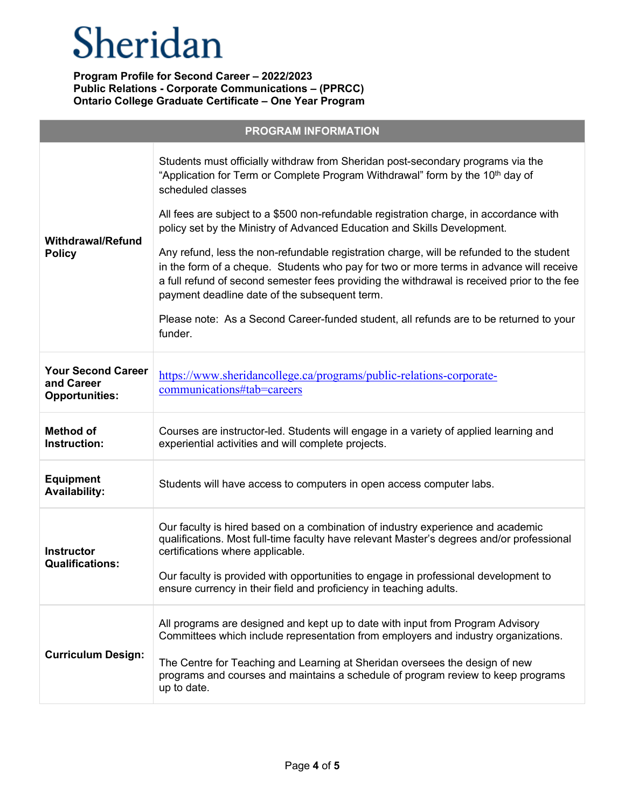|                                                                  | <b>PROGRAM INFORMATION</b>                                                                                                                                                                                                                                                                                                                             |
|------------------------------------------------------------------|--------------------------------------------------------------------------------------------------------------------------------------------------------------------------------------------------------------------------------------------------------------------------------------------------------------------------------------------------------|
| <b>Withdrawal/Refund</b><br><b>Policy</b>                        | Students must officially withdraw from Sheridan post-secondary programs via the<br>"Application for Term or Complete Program Withdrawal" form by the 10 <sup>th</sup> day of<br>scheduled classes                                                                                                                                                      |
|                                                                  | All fees are subject to a \$500 non-refundable registration charge, in accordance with<br>policy set by the Ministry of Advanced Education and Skills Development.                                                                                                                                                                                     |
|                                                                  | Any refund, less the non-refundable registration charge, will be refunded to the student<br>in the form of a cheque. Students who pay for two or more terms in advance will receive<br>a full refund of second semester fees providing the withdrawal is received prior to the fee<br>payment deadline date of the subsequent term.                    |
|                                                                  | Please note: As a Second Career-funded student, all refunds are to be returned to your<br>funder.                                                                                                                                                                                                                                                      |
| <b>Your Second Career</b><br>and Career<br><b>Opportunities:</b> | https://www.sheridancollege.ca/programs/public-relations-corporate-<br>communications#tab=careers                                                                                                                                                                                                                                                      |
| <b>Method of</b><br>Instruction:                                 | Courses are instructor-led. Students will engage in a variety of applied learning and<br>experiential activities and will complete projects.                                                                                                                                                                                                           |
| <b>Equipment</b><br><b>Availability:</b>                         | Students will have access to computers in open access computer labs.                                                                                                                                                                                                                                                                                   |
| <b>Instructor</b><br><b>Qualifications:</b>                      | Our faculty is hired based on a combination of industry experience and academic<br>qualifications. Most full-time faculty have relevant Master's degrees and/or professional<br>certifications where applicable.<br>Our faculty is provided with opportunities to engage in professional development to                                                |
|                                                                  | ensure currency in their field and proficiency in teaching adults.                                                                                                                                                                                                                                                                                     |
| <b>Curriculum Design:</b>                                        | All programs are designed and kept up to date with input from Program Advisory<br>Committees which include representation from employers and industry organizations.<br>The Centre for Teaching and Learning at Sheridan oversees the design of new<br>programs and courses and maintains a schedule of program review to keep programs<br>up to date. |
|                                                                  |                                                                                                                                                                                                                                                                                                                                                        |